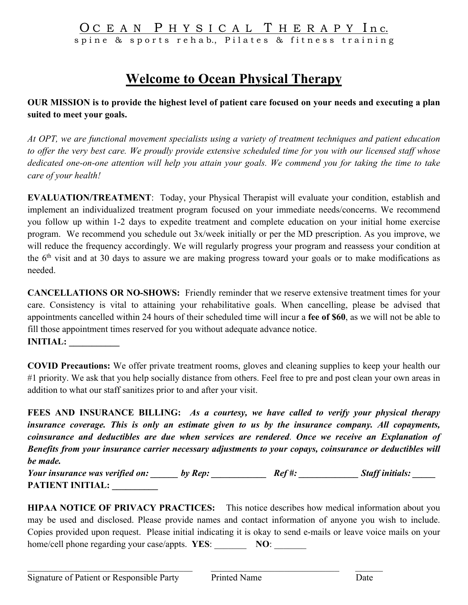# OCEAN PHYSICAL THERAPY Inc.

spine & sports rehab., Pilates & fitness training

# **Welcome to Ocean Physical Therapy**

### **OUR MISSION is to provide the highest level of patient care focused on your needs and executing a plan suited to meet your goals.**

*At OPT, we are functional movement specialists using a variety of treatment techniques and patient education to offer the very best care. We proudly provide extensive scheduled time for you with our licensed staff whose dedicated one-on-one attention will help you attain your goals. We commend you for taking the time to take care of your health!*

**EVALUATION/TREATMENT**: Today, your Physical Therapist will evaluate your condition, establish and implement an individualized treatment program focused on your immediate needs/concerns. We recommend you follow up within 1-2 days to expedite treatment and complete education on your initial home exercise program. We recommend you schedule out 3x/week initially or per the MD prescription. As you improve, we will reduce the frequency accordingly. We will regularly progress your program and reassess your condition at the 6th visit and at 30 days to assure we are making progress toward your goals or to make modifications as needed.

**CANCELLATIONS OR NO-SHOWS:** Friendly reminder that we reserve extensive treatment times for your care. Consistency is vital to attaining your rehabilitative goals. When cancelling, please be advised that appointments cancelled within 24 hours of their scheduled time will incur a **fee of \$60**, as we will not be able to fill those appointment times reserved for you without adequate advance notice. **INITIAL: \_\_\_\_\_\_\_\_\_\_\_**

**COVID Precautions:** We offer private treatment rooms, gloves and cleaning supplies to keep your health our #1 priority. We ask that you help socially distance from others. Feel free to pre and post clean your own areas in addition to what our staff sanitizes prior to and after your visit.

**FEES AND INSURANCE BILLING:** *As a courtesy, we have called to verify your physical therapy insurance coverage. This is only an estimate given to us by the insurance company. All copayments, coinsurance and deductibles are due when services are rendered*. *Once we receive an Explanation of Benefits from your insurance carrier necessary adjustments to your copays, coinsurance or deductibles will be made.* 

*Your insurance was verified on: \_\_\_\_\_\_\_\_ by Rep: \_\_\_\_\_\_\_\_\_\_\_\_\_\_\_\_ Ref #: \_\_\_\_\_\_\_\_\_\_\_\_\_ Staff initials: \_\_\_\_\_* **PATIENT INITIAL: \_\_\_\_\_\_\_\_\_\_**

**HIPAA NOTICE OF PRIVACY PRACTICES:** This notice describes how medical information about you may be used and disclosed. Please provide names and contact information of anyone you wish to include. Copies provided upon request. Please initial indicating it is okay to send e-mails or leave voice mails on your home/cell phone regarding your case/appts. **YES:** NO: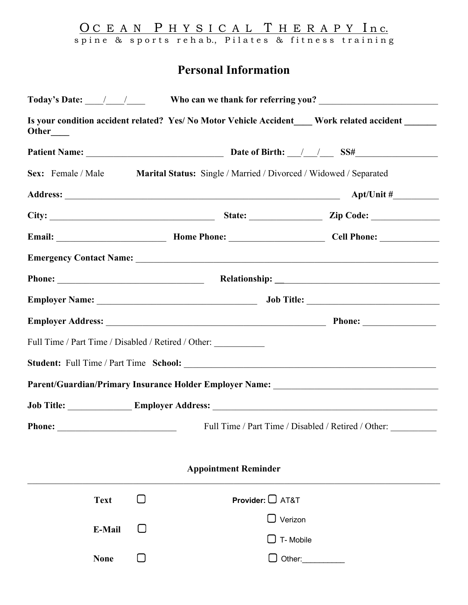O C E A N P H Y S I C A L T H E R A P Y In c. spine & sports rehab., Pilates & fitness training

## **Personal Information**

| Other____                                                                         |                                                                      |                                                                                      | Is your condition accident related? Yes/ No Motor Vehicle Accident ____ Work related accident _____ |
|-----------------------------------------------------------------------------------|----------------------------------------------------------------------|--------------------------------------------------------------------------------------|-----------------------------------------------------------------------------------------------------|
|                                                                                   |                                                                      |                                                                                      |                                                                                                     |
|                                                                                   |                                                                      | Sex: Female / Male Marital Status: Single / Married / Divorced / Widowed / Separated |                                                                                                     |
|                                                                                   |                                                                      |                                                                                      |                                                                                                     |
|                                                                                   |                                                                      |                                                                                      |                                                                                                     |
|                                                                                   | Email: Mome Phone: Mome Phone: Manual Cell Phone: Manual Cell Phone: |                                                                                      |                                                                                                     |
|                                                                                   |                                                                      |                                                                                      |                                                                                                     |
|                                                                                   |                                                                      |                                                                                      | Phone: Relationship: Relationship:                                                                  |
|                                                                                   |                                                                      |                                                                                      |                                                                                                     |
|                                                                                   |                                                                      |                                                                                      |                                                                                                     |
|                                                                                   |                                                                      | Full Time / Part Time / Disabled / Retired / Other:                                  |                                                                                                     |
|                                                                                   |                                                                      |                                                                                      |                                                                                                     |
|                                                                                   |                                                                      |                                                                                      | Parent/Guardian/Primary Insurance Holder Employer Name: _________________________                   |
| Job Title: ___________________Employer Address: _________________________________ |                                                                      |                                                                                      |                                                                                                     |
|                                                                                   |                                                                      |                                                                                      | Full Time / Part Time / Disabled / Retired / Other:                                                 |
|                                                                                   |                                                                      |                                                                                      |                                                                                                     |
|                                                                                   |                                                                      | <b>Appointment Reminder</b>                                                          |                                                                                                     |
| <b>Text</b>                                                                       | ΙI                                                                   | <b>Provider:</b> $\Box$ AT&T                                                         |                                                                                                     |
| E-Mail                                                                            |                                                                      | $\Box$ Verizon                                                                       |                                                                                                     |
|                                                                                   |                                                                      | $\Box$ T- Mobile                                                                     |                                                                                                     |
| <b>None</b>                                                                       |                                                                      |                                                                                      | $\Box$ Other:                                                                                       |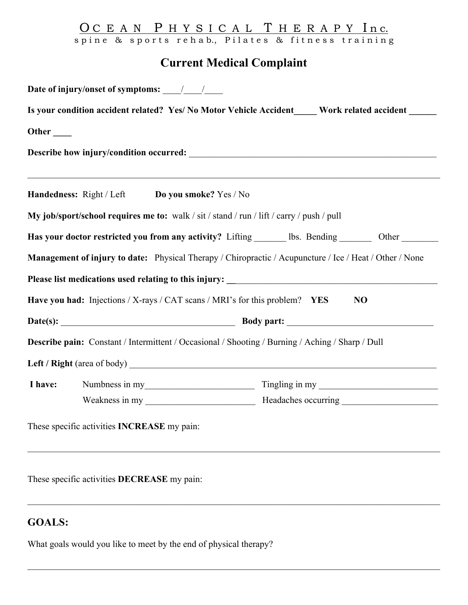### O C E A N P H Y S I C A L T H E R A P Y In c. spine & sports rehab., Pilates & fitness training

## **Current Medical Complaint**

| Is your condition accident related? Yes/ No Motor Vehicle Accident____ Work related accident ____ |                                                                                                  |                                                                                                         |  |  |
|---------------------------------------------------------------------------------------------------|--------------------------------------------------------------------------------------------------|---------------------------------------------------------------------------------------------------------|--|--|
|                                                                                                   |                                                                                                  |                                                                                                         |  |  |
|                                                                                                   |                                                                                                  |                                                                                                         |  |  |
|                                                                                                   | Handedness: Right / Left Do you smoke? Yes / No                                                  |                                                                                                         |  |  |
|                                                                                                   | My job/sport/school requires me to: walk / sit / stand / run / lift / carry / push / pull        |                                                                                                         |  |  |
|                                                                                                   |                                                                                                  | Has your doctor restricted you from any activity? Lifting _______ lbs. Bending ________ Other _______   |  |  |
|                                                                                                   |                                                                                                  | Management of injury to date: Physical Therapy / Chiropractic / Acupuncture / Ice / Heat / Other / None |  |  |
|                                                                                                   |                                                                                                  |                                                                                                         |  |  |
|                                                                                                   | Have you had: Injections / X-rays / CAT scans / MRI's for this problem? YES                      | N <sub>O</sub>                                                                                          |  |  |
|                                                                                                   |                                                                                                  |                                                                                                         |  |  |
|                                                                                                   | Describe pain: Constant / Intermittent / Occasional / Shooting / Burning / Aching / Sharp / Dull |                                                                                                         |  |  |
|                                                                                                   |                                                                                                  |                                                                                                         |  |  |
| I have:                                                                                           | Numbness in my                                                                                   | Tingling in my                                                                                          |  |  |
|                                                                                                   |                                                                                                  |                                                                                                         |  |  |
|                                                                                                   | These specific activities <b>INCREASE</b> my pain:                                               |                                                                                                         |  |  |

These specific activities **DECREASE** my pain:

## **GOALS:**

What goals would you like to meet by the end of physical therapy?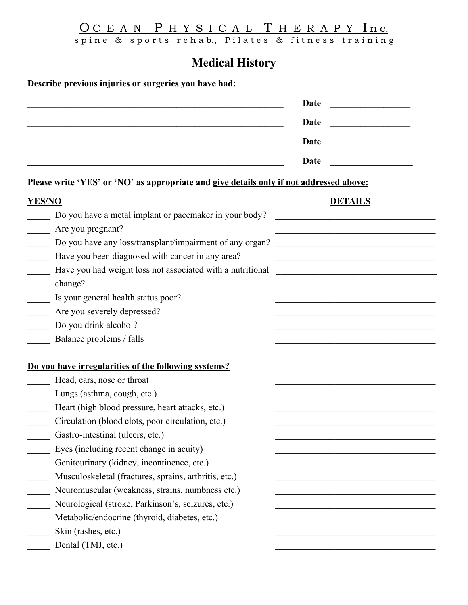O C E A N P H Y S I C A L T H E R A P Y In c. spine & sports rehab., Pilates & fitness training

**Medical History**

**Describe previous injuries or surgeries you have had:**

|                                                                                                                                                                                                                                                                                                                                            | <b>Date</b><br>Date<br>the control of the control of the control of<br>Date<br>Date                                                                                                                                                                                                                                                                                                             |
|--------------------------------------------------------------------------------------------------------------------------------------------------------------------------------------------------------------------------------------------------------------------------------------------------------------------------------------------|-------------------------------------------------------------------------------------------------------------------------------------------------------------------------------------------------------------------------------------------------------------------------------------------------------------------------------------------------------------------------------------------------|
| Please write 'YES' or 'NO' as appropriate and give details only if not addressed above:                                                                                                                                                                                                                                                    |                                                                                                                                                                                                                                                                                                                                                                                                 |
| <b>YES/NO</b>                                                                                                                                                                                                                                                                                                                              | <b>DETAILS</b>                                                                                                                                                                                                                                                                                                                                                                                  |
| Do you have a metal implant or pacemaker in your body?<br>Are you pregnant?<br>Do you have any loss/transplant/impairment of any organ?<br>Have you been diagnosed with cancer in any area?<br>Have you had weight loss not associated with a nutritional<br>change?<br>Is your general health status poor?<br>Are you severely depressed? | <u> 1989 - Johann John Stone, mars eta bainar eta bainar eta baina eta baina eta baina eta baina eta baina eta b</u><br><u> 1990 - Johann John Stoff, mars and de Brasilian (b. 1980)</u><br><u> 1980 - Andrea Station, amerikansk politik (d. 1980)</u><br><u> 1989 - Johann Barbara, margaret eta idazlea (h. 1989).</u><br><u> 1989 - Johann John Stein, mars eta biztanleria (h. 1989).</u> |
| Do you drink alcohol?                                                                                                                                                                                                                                                                                                                      |                                                                                                                                                                                                                                                                                                                                                                                                 |
| Balance problems / falls<br>Do you have irregularities of the following systems?                                                                                                                                                                                                                                                           |                                                                                                                                                                                                                                                                                                                                                                                                 |
| Head, ears, nose or throat                                                                                                                                                                                                                                                                                                                 |                                                                                                                                                                                                                                                                                                                                                                                                 |
| Lungs (asthma, cough, etc.)                                                                                                                                                                                                                                                                                                                |                                                                                                                                                                                                                                                                                                                                                                                                 |
| Heart (high blood pressure, heart attacks, etc.)<br>Circulation (blood clots, poor circulation, etc.)                                                                                                                                                                                                                                      |                                                                                                                                                                                                                                                                                                                                                                                                 |
| Gastro-intestinal (ulcers, etc.)                                                                                                                                                                                                                                                                                                           |                                                                                                                                                                                                                                                                                                                                                                                                 |
| Eyes (including recent change in acuity)                                                                                                                                                                                                                                                                                                   |                                                                                                                                                                                                                                                                                                                                                                                                 |
| Genitourinary (kidney, incontinence, etc.)                                                                                                                                                                                                                                                                                                 |                                                                                                                                                                                                                                                                                                                                                                                                 |
| Musculoskeletal (fractures, sprains, arthritis, etc.)                                                                                                                                                                                                                                                                                      |                                                                                                                                                                                                                                                                                                                                                                                                 |
| Neuromuscular (weakness, strains, numbness etc.)                                                                                                                                                                                                                                                                                           |                                                                                                                                                                                                                                                                                                                                                                                                 |
| Neurological (stroke, Parkinson's, seizures, etc.)                                                                                                                                                                                                                                                                                         |                                                                                                                                                                                                                                                                                                                                                                                                 |
| Metabolic/endocrine (thyroid, diabetes, etc.)                                                                                                                                                                                                                                                                                              |                                                                                                                                                                                                                                                                                                                                                                                                 |
| Skin (rashes, etc.)                                                                                                                                                                                                                                                                                                                        |                                                                                                                                                                                                                                                                                                                                                                                                 |
| Dental (TMJ, etc.)                                                                                                                                                                                                                                                                                                                         |                                                                                                                                                                                                                                                                                                                                                                                                 |